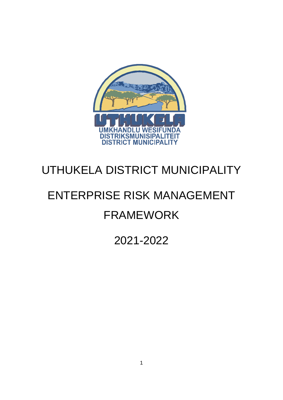

## UTHUKELA DISTRICT MUNICIPALITY

# ENTERPRISE RISK MANAGEMENT FRAMEWORK

2021-2022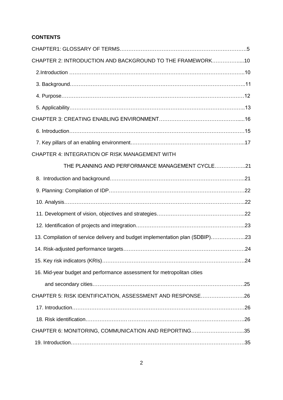## **CONTENTS**

| CHAPTER 2: INTRODUCTION AND BACKGROUND TO THE FRAMEWORK10                    |  |
|------------------------------------------------------------------------------|--|
|                                                                              |  |
|                                                                              |  |
|                                                                              |  |
|                                                                              |  |
|                                                                              |  |
|                                                                              |  |
|                                                                              |  |
| CHAPTER 4: INTEGRATION OF RISK MANAGEMENT WITH                               |  |
| THE PLANNING AND PERFORMANCE MANAGEMENT CYCLE21                              |  |
|                                                                              |  |
|                                                                              |  |
|                                                                              |  |
|                                                                              |  |
|                                                                              |  |
| 13. Compilation of service delivery and budget implementation plan (SDBIP)23 |  |
|                                                                              |  |
|                                                                              |  |
| 16. Mid-year budget and performance assessment for metropolitan cities       |  |
|                                                                              |  |
| CHAPTER 5: RISK IDENTIFICATION, ASSESSMENT AND RESPONSE26                    |  |
|                                                                              |  |
|                                                                              |  |
| CHAPTER 6: MONITORING, COMMUNICATION AND REPORTING35                         |  |
|                                                                              |  |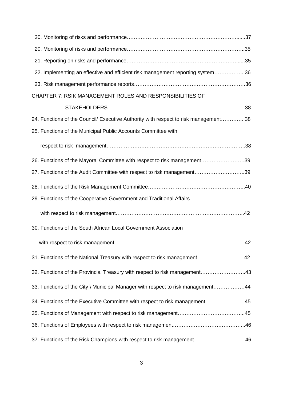| 22. Implementing an effective and efficient risk management reporting system36      |  |
|-------------------------------------------------------------------------------------|--|
|                                                                                     |  |
| CHAPTER 7: RSIK MANAGEMENT ROLES AND RESPONSIBILITIES OF                            |  |
|                                                                                     |  |
| 24. Functions of the Council/ Executive Authority with respect to risk management38 |  |
| 25. Functions of the Municipal Public Accounts Committee with                       |  |
|                                                                                     |  |
| 26. Functions of the Mayoral Committee with respect to risk management39            |  |
| 27. Functions of the Audit Committee with respect to risk management39              |  |
|                                                                                     |  |
| 29. Functions of the Cooperative Government and Traditional Affairs                 |  |
|                                                                                     |  |
| 30. Functions of the South African Local Government Association                     |  |
|                                                                                     |  |
| 31. Functions of the National Treasury with respect to risk management42            |  |
| 32. Functions of the Provincial Treasury with respect to risk management43          |  |
| 33. Functions of the City \ Municipal Manager with respect to risk management44     |  |
| 34. Functions of the Executive Committee with respect to risk management45          |  |
|                                                                                     |  |
|                                                                                     |  |
| 37. Functions of the Risk Champions with respect to risk management46               |  |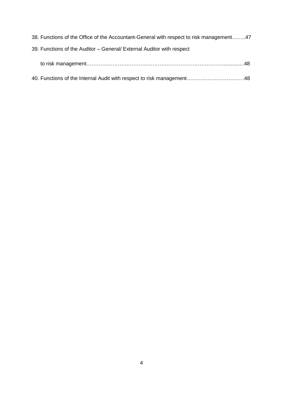<span id="page-3-0"></span>

| 38. Functions of the Office of the Accountant-General with respect to risk management47 |
|-----------------------------------------------------------------------------------------|
| 39. Functions of the Auditor - General/ External Auditor with respect                   |
|                                                                                         |
|                                                                                         |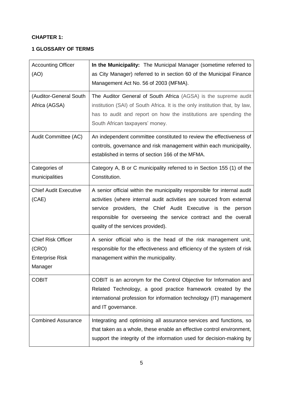## **CHAPTER 1:**

## **1 GLOSSARY OF TERMS**

| <b>Accounting Officer</b><br>(AO)                                       | In the Municipality: The Municipal Manager (sometime referred to<br>as City Manager) referred to in section 60 of the Municipal Finance                                                                                                                                                                                  |
|-------------------------------------------------------------------------|--------------------------------------------------------------------------------------------------------------------------------------------------------------------------------------------------------------------------------------------------------------------------------------------------------------------------|
|                                                                         | Management Act No. 56 of 2003 (MFMA).                                                                                                                                                                                                                                                                                    |
| (Auditor-General South<br>Africa (AGSA)                                 | The Auditor General of South Africa (AGSA) is the supreme audit<br>institution (SAI) of South Africa. It is the only institution that, by law,<br>has to audit and report on how the institutions are spending the<br>South African taxpayers' money.                                                                    |
| Audit Committee (AC)                                                    | An independent committee constituted to review the effectiveness of<br>controls, governance and risk management within each municipality,<br>established in terms of section 166 of the MFMA.                                                                                                                            |
| Categories of<br>municipalities                                         | Category A, B or C municipality referred to in Section 155 (1) of the<br>Constitution.                                                                                                                                                                                                                                   |
| <b>Chief Audit Executive</b><br>(CAE)                                   | A senior official within the municipality responsible for internal audit<br>activities (where internal audit activities are sourced from external<br>service providers, the Chief Audit Executive is the person<br>responsible for overseeing the service contract and the overall<br>quality of the services provided). |
| <b>Chief Risk Officer</b><br>(CRO)<br><b>Enterprise Risk</b><br>Manager | A senior official who is the head of the risk management unit,<br>responsible for the effectiveness and efficiency of the system of risk<br>management within the municipality.                                                                                                                                          |
| <b>COBIT</b>                                                            | COBIT is an acronym for the Control Objective for Information and<br>Related Technology, a good practice framework created by the<br>international profession for information technology (IT) management<br>and IT governance.                                                                                           |
| <b>Combined Assurance</b>                                               | Integrating and optimising all assurance services and functions, so<br>that taken as a whole, these enable an effective control environment,<br>support the integrity of the information used for decision-making by                                                                                                     |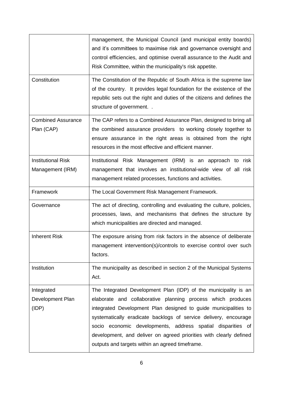|                                               | management, the Municipal Council (and municipal entity boards)<br>and it's committees to maximise risk and governance oversight and<br>control efficiencies, and optimise overall assurance to the Audit and<br>Risk Committee, within the municipality's risk appetite.                                                                                                                                                                                     |
|-----------------------------------------------|---------------------------------------------------------------------------------------------------------------------------------------------------------------------------------------------------------------------------------------------------------------------------------------------------------------------------------------------------------------------------------------------------------------------------------------------------------------|
| Constitution                                  | The Constitution of the Republic of South Africa is the supreme law<br>of the country. It provides legal foundation for the existence of the<br>republic sets out the right and duties of the citizens and defines the<br>structure of government                                                                                                                                                                                                             |
| <b>Combined Assurance</b><br>Plan (CAP)       | The CAP refers to a Combined Assurance Plan, designed to bring all<br>the combined assurance providers to working closely together to<br>ensure assurance in the right areas is obtained from the right<br>resources in the most effective and efficient manner.                                                                                                                                                                                              |
| <b>Institutional Risk</b><br>Management (IRM) | Institutional Risk Management (IRM) is an approach to risk<br>management that involves an institutional-wide view of all risk<br>management related processes, functions and activities.                                                                                                                                                                                                                                                                      |
| Framework                                     | The Local Government Risk Management Framework.                                                                                                                                                                                                                                                                                                                                                                                                               |
| Governance                                    | The act of directing, controlling and evaluating the culture, policies,<br>processes, laws, and mechanisms that defines the structure by<br>which municipalities are directed and managed.                                                                                                                                                                                                                                                                    |
| <b>Inherent Risk</b>                          | The exposure arising from risk factors in the absence of deliberate<br>management intervention(s)/controls to exercise control over such<br>factors.                                                                                                                                                                                                                                                                                                          |
| Institution                                   | The municipality as described in section 2 of the Municipal Systems<br>Act.                                                                                                                                                                                                                                                                                                                                                                                   |
| Integrated<br>Development Plan<br>(IDP)       | The Integrated Development Plan (IDP) of the municipality is an<br>elaborate and collaborative planning process which produces<br>integrated Development Plan designed to guide municipalities to<br>systematically eradicate backlogs of service delivery, encourage<br>socio economic developments, address spatial disparities of<br>development, and deliver on agreed priorities with clearly defined<br>outputs and targets within an agreed timeframe. |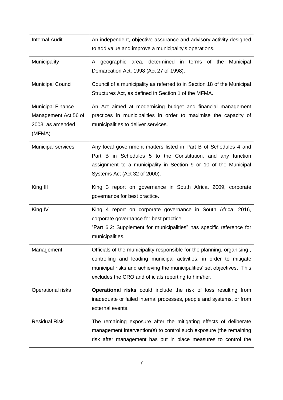| <b>Internal Audit</b>                                                          | An independent, objective assurance and advisory activity designed<br>to add value and improve a municipality's operations.                                                                                                                                                     |
|--------------------------------------------------------------------------------|---------------------------------------------------------------------------------------------------------------------------------------------------------------------------------------------------------------------------------------------------------------------------------|
| Municipality                                                                   | A geographic area, determined in terms of the<br>Municipal<br>Demarcation Act, 1998 (Act 27 of 1998).                                                                                                                                                                           |
| <b>Municipal Council</b>                                                       | Council of a municipality as referred to in Section 18 of the Municipal<br>Structures Act, as defined in Section 1 of the MFMA.                                                                                                                                                 |
| <b>Municipal Finance</b><br>Management Act 56 of<br>2003, as amended<br>(MFMA) | An Act aimed at modernising budget and financial management<br>practices in municipalities in order to maximise the capacity of<br>municipalities to deliver services.                                                                                                          |
| Municipal services                                                             | Any local government matters listed in Part B of Schedules 4 and<br>Part B in Schedules 5 to the Constitution, and any function<br>assignment to a municipality in Section 9 or 10 of the Municipal<br>Systems Act (Act 32 of 2000).                                            |
| King III                                                                       | King 3 report on governance in South Africa, 2009, corporate<br>governance for best practice.                                                                                                                                                                                   |
| King IV                                                                        | King 4 report on corporate governance in South Africa, 2016,<br>corporate governance for best practice.<br>"Part 6.2: Supplement for municipalities" has specific reference for<br>municipalities.                                                                              |
| Management                                                                     | Officials of the municipality responsible for the planning, organising,<br>controlling and leading municipal activities, in order to mitigate<br>municipal risks and achieving the municipalities' set objectives. This<br>excludes the CRO and officials reporting to him/her. |
| Operational risks                                                              | <b>Operational risks</b> could include the risk of loss resulting from<br>inadequate or failed internal processes, people and systems, or from<br>external events.                                                                                                              |
| <b>Residual Risk</b>                                                           | The remaining exposure after the mitigating effects of deliberate<br>management intervention(s) to control such exposure (the remaining<br>risk after management has put in place measures to control the                                                                       |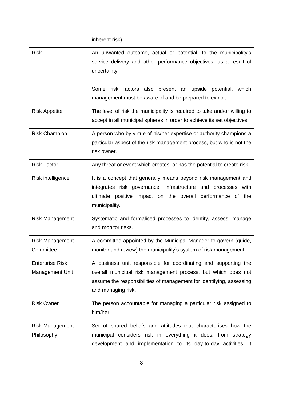|                                           | inherent risk).                                                                                                                                                                                                                                                              |
|-------------------------------------------|------------------------------------------------------------------------------------------------------------------------------------------------------------------------------------------------------------------------------------------------------------------------------|
| <b>Risk</b>                               | An unwanted outcome, actual or potential, to the municipality's<br>service delivery and other performance objectives, as a result of<br>uncertainty.<br>Some risk factors also present an upside potential, which<br>management must be aware of and be prepared to exploit. |
| <b>Risk Appetite</b>                      | The level of risk the municipality is required to take and/or willing to<br>accept in all municipal spheres in order to achieve its set objectives.                                                                                                                          |
| <b>Risk Champion</b>                      | A person who by virtue of his/her expertise or authority champions a<br>particular aspect of the risk management process, but who is not the<br>risk owner.                                                                                                                  |
| <b>Risk Factor</b>                        | Any threat or event which creates, or has the potential to create risk.                                                                                                                                                                                                      |
| Risk intelligence                         | It is a concept that generally means beyond risk management and<br>integrates risk governance, infrastructure and processes with<br>ultimate positive impact on the overall performance of the<br>municipality.                                                              |
| <b>Risk Management</b>                    | Systematic and formalised processes to identify, assess, manage<br>and monitor risks.                                                                                                                                                                                        |
| <b>Risk Management</b><br>Committee       | A committee appointed by the Municipal Manager to govern (guide,<br>monitor and review) the municipality's system of risk management.                                                                                                                                        |
| <b>Enterprise Risk</b><br>Management Unit | A business unit responsible for coordinating and supporting the<br>overall municipal risk management process, but which does not<br>assume the responsibilities of management for identifying, assessing<br>and managing risk.                                               |
| <b>Risk Owner</b>                         | The person accountable for managing a particular risk assigned to<br>him/her.                                                                                                                                                                                                |
| <b>Risk Management</b><br>Philosophy      | Set of shared beliefs and attitudes that characterises how the<br>municipal considers risk in everything it does, from strategy<br>development and implementation to its day-to-day activities. It                                                                           |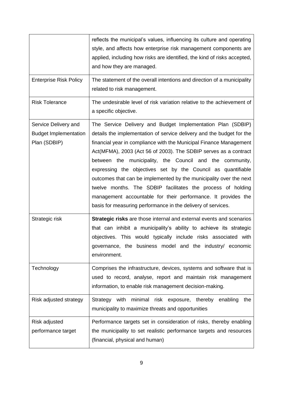|                                                                      | reflects the municipal's values, influencing its culture and operating<br>style, and affects how enterprise risk management components are<br>applied, including how risks are identified, the kind of risks accepted,<br>and how they are managed.                                                                                                                                                                                                                                                                                                                                                                                                                              |
|----------------------------------------------------------------------|----------------------------------------------------------------------------------------------------------------------------------------------------------------------------------------------------------------------------------------------------------------------------------------------------------------------------------------------------------------------------------------------------------------------------------------------------------------------------------------------------------------------------------------------------------------------------------------------------------------------------------------------------------------------------------|
| <b>Enterprise Risk Policy</b>                                        | The statement of the overall intentions and direction of a municipality<br>related to risk management.                                                                                                                                                                                                                                                                                                                                                                                                                                                                                                                                                                           |
| <b>Risk Tolerance</b>                                                | The undesirable level of risk variation relative to the achievement of<br>a specific objective.                                                                                                                                                                                                                                                                                                                                                                                                                                                                                                                                                                                  |
| Service Delivery and<br><b>Budget Implementation</b><br>Plan (SDBIP) | The Service Delivery and Budget Implementation Plan (SDBIP)<br>details the implementation of service delivery and the budget for the<br>financial year in compliance with the Municipal Finance Management<br>Act(MFMA), 2003 (Act 56 of 2003). The SDBIP serves as a contract<br>between the municipality, the Council and the community,<br>expressing the objectives set by the Council as quantifiable<br>outcomes that can be implemented by the municipality over the next<br>twelve months. The SDBIP facilitates the process of holding<br>management accountable for their performance. It provides the<br>basis for measuring performance in the delivery of services. |
| Strategic risk                                                       | Strategic risks are those internal and external events and scenarios<br>that can inhibit a municipality's ability to achieve its strategic<br>objectives. This would typically include risks associated with<br>governance, the business model and the industry/ economic<br>environment.                                                                                                                                                                                                                                                                                                                                                                                        |
| Technology                                                           | Comprises the infrastructure, devices, systems and software that is<br>used to record, analyse, report and maintain risk management<br>information, to enable risk management decision-making.                                                                                                                                                                                                                                                                                                                                                                                                                                                                                   |
| Risk adjusted strategy                                               | Strategy with<br>minimal risk exposure, thereby<br>enabling<br>the<br>municipality to maximize threats and opportunities                                                                                                                                                                                                                                                                                                                                                                                                                                                                                                                                                         |
| Risk adjusted<br>performance target                                  | Performance targets set in consideration of risks, thereby enabling<br>the municipality to set realistic performance targets and resources<br>(financial, physical and human)                                                                                                                                                                                                                                                                                                                                                                                                                                                                                                    |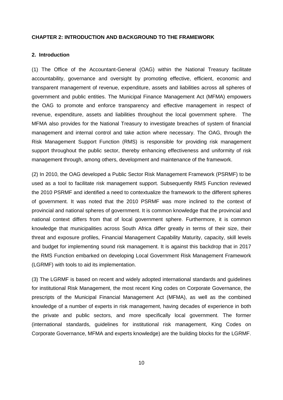## <span id="page-9-0"></span>**CHAPTER 2: INTRODUCTION AND BACKGROUND TO THE FRAMEWORK**

## **2. Introduction**

(1) The Office of the Accountant-General (OAG) within the National Treasury facilitate accountability, governance and oversight by promoting effective, efficient, economic and transparent management of revenue, expenditure, assets and liabilities across all spheres of government and public entities. The Municipal Finance Management Act (MFMA) empowers the OAG to promote and enforce transparency and effective management in respect of revenue, expenditure, assets and liabilities throughout the local government sphere. The MFMA also provides for the National Treasury to investigate breaches of system of financial management and internal control and take action where necessary. The OAG, through the Risk Management Support Function (RMS) is responsible for providing risk management support throughout the public sector, thereby enhancing effectiveness and uniformity of risk management through, among others, development and maintenance of the framework.

(2) In 2010, the OAG developed a Public Sector Risk Management Framework (PSRMF) to be used as a tool to facilitate risk management support. Subsequently RMS Function reviewed the 2010 PSRMF and identified a need to contextualize the framework to the different spheres of government. It was noted that the 2010 PSRMF was more inclined to the context of provincial and national spheres of government. It is common knowledge that the provincial and national context differs from that of local government sphere. Furthermore, it is common knowledge that municipalities across South Africa differ greatly in terms of their size, their threat and exposure profiles, Financial Management Capability Maturity, capacity, skill levels and budget for implementing sound risk management. It is against this backdrop that in 2017 the RMS Function embarked on developing Local Government Risk Management Framework (LGRMF) with tools to aid its implementation.

(3) The LGRMF is based on recent and widely adopted international standards and guidelines for institutional Risk Management, the most recent King codes on Corporate Governance, the prescripts of the Municipal Financial Management Act (MFMA), as well as the combined knowledge of a number of experts in risk management, having decades of experience in both the private and public sectors, and more specifically local government. The former (international standards, guidelines for institutional risk management, King Codes on Corporate Governance, MFMA and experts knowledge) are the building blocks for the LGRMF.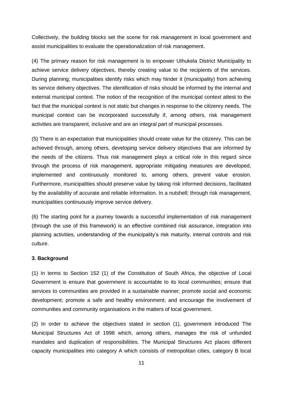Collectively, the building blocks set the scene for risk management in local government and assist municipalities to evaluate the operationalization of risk management.

(4) The primary reason for risk management is to empower Uthukela District Municipality to achieve service delivery objectives, thereby creating value to the recipients of the services. During planning; municipalities identify risks which may hinder it (municipality) from achieving its service delivery objectives. The identification of risks should be informed by the internal and external municipal context. The notion of the recognition of the municipal context attest to the fact that the municipal context is not static but changes in response to the citizenry needs. The municipal context can be incorporated successfully if, among others, risk management activities are transparent, inclusive and are an integral part of municipal processes.

(5) There is an expectation that municipalities should create value for the citizenry. This can be achieved through, among others, developing service delivery objectives that are informed by the needs of the citizens. Thus risk management plays a critical role in this regard since through the process of risk management, appropriate mitigating measures are developed, implemented and continuously monitored to, among others, prevent value erosion. Furthermore, municipalities should preserve value by taking risk informed decisions, facilitated by the availability of accurate and reliable information. In a nutshell; through risk management, municipalities continuously improve service delivery.

(6) The starting point for a journey towards a successful implementation of risk management (through the use of this framework) is an effective combined risk assurance, integration into planning activities, understanding of the municipality's risk maturity, internal controls and risk culture.

## **3. Background**

(1) In terms to Section 152 (1) of the Constitution of South Africa, the objective of Local Government is ensure that government is accountable to its local communities; ensure that services to communities are provided in a sustainable manner; promote social and economic development; promote a safe and healthy environment; and encourage the involvement of communities and community organisations in the matters of local government.

(2) In order to achieve the objectives stated in section (1), government introduced The Municipal Structures Act of 1998 which, among others, manages the risk of unfunded mandates and duplication of responsibilities. The Municipal Structures Act places different capacity municipalities into category A which consists of metropolitan cities, category B local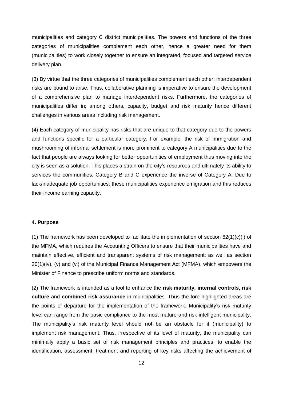municipalities and category C district municipalities. The powers and functions of the three categories of municipalities complement each other, hence a greater need for them (municipalities) to work closely together to ensure an integrated, focused and targeted service delivery plan.

(3) By virtue that the three categories of municipalities complement each other; interdependent risks are bound to arise. Thus, collaborative planning is imperative to ensure the development of a comprehensive plan to manage interdependent risks. Furthermore, the categories of municipalities differ in; among others, capacity, budget and risk maturity hence different challenges in various areas including risk management.

(4) Each category of municipality has risks that are unique to that category due to the powers and functions specific for a particular category. For example, the risk of immigration and mushrooming of informal settlement is more prominent to category A municipalities due to the fact that people are always looking for better opportunities of employment thus moving into the city is seen as a solution. This places a strain on the city's resources and ultimately its ability to services the communities. Category B and C experience the inverse of Category A. Due to lack/inadequate job opportunities; these municipalities experience emigration and this reduces their income earning capacity.

## **4. Purpose**

(1) The framework has been developed to facilitate the implementation of section 62(1)(c)(i) of the MFMA, which requires the Accounting Officers to ensure that their municipalities have and maintain effective, efficient and transparent systems of risk management; as well as section 20(1)(iv), (v) and (vi) of the Municipal Finance Management Act (MFMA), which empowers the Minister of Finance to prescribe uniform norms and standards.

(2) The framework is intended as a tool to enhance the **risk maturity, internal controls, risk culture** and **combined risk assurance** in municipalities. Thus the fore highlighted areas are the points of departure for the implementation of the framework. Municipality's risk maturity level can range from the basic compliance to the most mature and risk intelligent municipality. The municipality's risk maturity level should not be an obstacle for it (municipality) to implement risk management. Thus, irrespective of its level of maturity, the municipality can minimally apply a basic set of risk management principles and practices, to enable the identification, assessment, treatment and reporting of key risks affecting the achievement of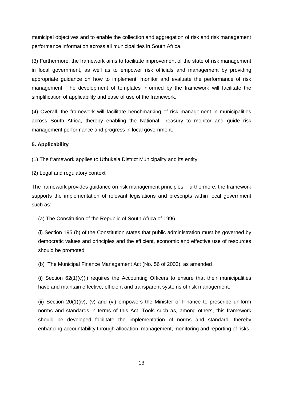municipal objectives and to enable the collection and aggregation of risk and risk management performance information across all municipalities in South Africa.

(3) Furthermore, the framework aims to facilitate improvement of the state of risk management in local government, as well as to empower risk officials and management by providing appropriate guidance on how to implement, monitor and evaluate the performance of risk management. The development of templates informed by the framework will facilitate the simplification of applicability and ease of use of the framework.

(4) Overall, the framework will facilitate benchmarking of risk management in municipalities across South Africa, thereby enabling the National Treasury to monitor and guide risk management performance and progress in local government.

## **5. Applicability**

(1) The framework applies to Uthukela District Municipality and its entity.

(2) Legal and regulatory context

The framework provides guidance on risk management principles. Furthermore, the framework supports the implementation of relevant legislations and prescripts within local government such as:

(a) The Constitution of the Republic of South Africa of 1996

(i) Section 195 (b) of the Constitution states that public administration must be governed by democratic values and principles and the efficient, economic and effective use of resources should be promoted.

(b) The Municipal Finance Management Act (No. 56 of 2003), as amended

(i) Section 62(1)(c)(i) requires the Accounting Officers to ensure that their municipalities have and maintain effective, efficient and transparent systems of risk management.

(ii) Section 20(1)(iv), (v) and (vi) empowers the Minister of Finance to prescribe uniform norms and standards in terms of this Act. Tools such as, among others, this framework should be developed facilitate the implementation of norms and standard; thereby enhancing accountability through allocation, management, monitoring and reporting of risks.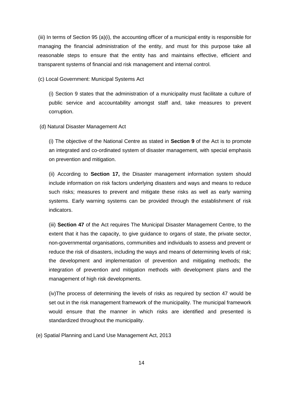(iii) In terms of Section 95 (a)(i), the accounting officer of a municipal entity is responsible for managing the financial administration of the entity, and must for this purpose take all reasonable steps to ensure that the entity has and maintains effective, efficient and transparent systems of financial and risk management and internal control.

(c) Local Government: Municipal Systems Act

(i) Section 9 states that the administration of a municipality must facilitate a culture of public service and accountability amongst staff and, take measures to prevent corruption.

(d) Natural Disaster Management Act

(i) The objective of the National Centre as stated in **Section 9** of the Act is to promote an integrated and co-ordinated system of disaster management, with special emphasis on prevention and mitigation.

(ii) According to **Section 17,** the Disaster management information system should include information on risk factors underlying disasters and ways and means to reduce such risks; measures to prevent and mitigate these risks as well as early warning systems. Early warning systems can be provided through the establishment of risk indicators.

(iii) **Section 47** of the Act requires The Municipal Disaster Management Centre, to the extent that it has the capacity, to give guidance to organs of state, the private sector, non-governmental organisations, communities and individuals to assess and prevent or reduce the risk of disasters, including the ways and means of determining levels of risk; the development and implementation of prevention and mitigating methods; the integration of prevention and mitigation methods with development plans and the management of high risk developments.

(iv)The process of determining the levels of risks as required by section 47 would be set out in the risk management framework of the municipality. The municipal framework would ensure that the manner in which risks are identified and presented is standardized throughout the municipality.

(e) Spatial Planning and Land Use Management Act, 2013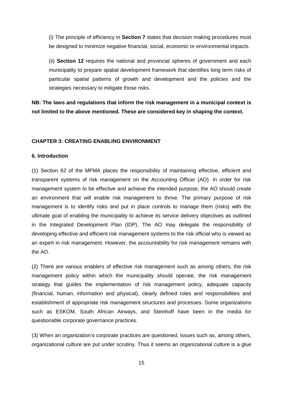(i) The principle of efficiency in **Section 7** states that decision making procedures must be designed to minimize negative financial, social, economic or environmental impacts.

(ii) **Section 12** requires the national and provincial spheres of government and each municipality to prepare spatial development framework that identifies long term risks of particular spatial patterns of growth and development and the policies and the strategies necessary to mitigate those risks.

**NB: The laws and regulations that inform the risk management in a municipal context is not limited to the above mentioned. These are considered key in shaping the context.**

#### **CHAPTER 3: CREATING ENABLING ENVIRONMENT**

## **6. Introduction**

(1) Section 62 of the MFMA places the responsibility of maintaining effective, efficient and transparent systems of risk management on the Accounting Officer (AO). In order for risk management system to be effective and achieve the intended purpose, the AO should create an environment that will enable risk management to thrive. The primary purpose of risk management is to identify risks and put in place controls to manage them (risks) with the ultimate goal of enabling the municipality to achieve its service delivery objectives as outlined in the Integrated Development Plan (IDP). The AO may delegate the responsibility of developing effective and efficient risk management systems to the risk official who is viewed as an expert in risk management. However, the accountability for risk management remains with the AO.

(2) There are various enablers of effective risk management such as among others, the risk management policy within which the municipality should operate, the risk management strategy that guides the implementation of risk management policy, adequate capacity (financial, human, information and physical), clearly defined roles and responsibilities and establishment of appropriate risk management structures and processes. Some organizations such as ESKOM, South African Airways, and Steinhoff have been in the media for questionable corporate governance practices.

(3) When an organization's corporate practices are questioned, issues such as, among others, organizational culture are put under scrutiny. Thus it seems an organizational culture is a glue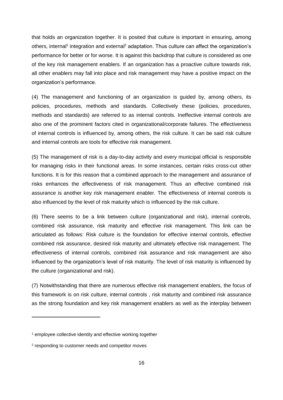that holds an organization together. It is posited that culture is important in ensuring, among others, internal<sup>1</sup> integration and external<sup>2</sup> adaptation. Thus culture can affect the organization's performance for better or for worse. It is against this backdrop that culture is considered as one of the key risk management enablers. If an organization has a proactive culture towards risk, all other enablers may fall into place and risk management may have a positive impact on the organization's performance.

(4) The management and functioning of an organization is guided by, among others, its policies, procedures, methods and standards. Collectively these (policies, procedures, methods and standards) are referred to as internal controls. Ineffective internal controls are also one of the prominent factors cited in organizational/corporate failures. The effectiveness of internal controls is influenced by, among others, the risk culture. It can be said risk culture and internal controls are tools for effective risk management.

(5) The management of risk is a day-to-day activity and every municipal official is responsible for managing risks in their functional areas. In some instances, certain risks cross-cut other functions. It is for this reason that a combined approach to the management and assurance of risks enhances the effectiveness of risk management. Thus an effective combined risk assurance is another key risk management enabler. The effectiveness of internal controls is also influenced by the level of risk maturity which is influenced by the risk culture.

(6) There seems to be a link between culture (organizational and risk), internal controls, combined risk assurance, risk maturity and effective risk management. This link can be articulated as follows: Risk culture is the foundation for effective internal controls, effective combined risk assurance, desired risk maturity and ultimately effective risk management. The effectiveness of internal controls, combined risk assurance and risk management are also influenced by the organization's level of risk maturity. The level of risk maturity is influenced by the culture (organizational and risk).

(7) Notwithstanding that there are numerous effective risk management enablers, the focus of this framework is on risk culture, internal controls , risk maturity and combined risk assurance as the strong foundation and key risk management enablers as well as the interplay between

-

<sup>&</sup>lt;sup>1</sup> employee collective identity and effective working together

<sup>&</sup>lt;sup>2</sup> responding to customer needs and competitor moves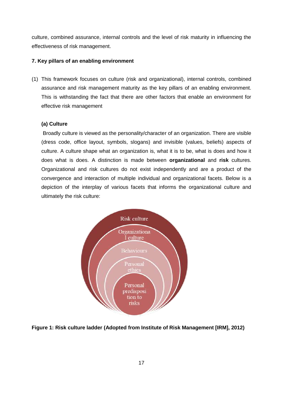culture, combined assurance, internal controls and the level of risk maturity in influencing the effectiveness of risk management.

## **7. Key pillars of an enabling environment**

(1) This framework focuses on culture (risk and organizational), internal controls, combined assurance and risk management maturity as the key pillars of an enabling environment. This is withstanding the fact that there are other factors that enable an environment for effective risk management

## **(a) Culture**

Broadly culture is viewed as the personality/character of an organization. There are visible (dress code, office layout, symbols, slogans) and invisible (values, beliefs) aspects of culture. A culture shape what an organization is, what it is to be, what is does and how it does what is does. A distinction is made between **organizational** and **risk** cultures. Organizational and risk cultures do not exist independently and are a product of the convergence and interaction of multiple individual and organizational facets. Below is a depiction of the interplay of various facets that informs the organizational culture and ultimately the risk culture:



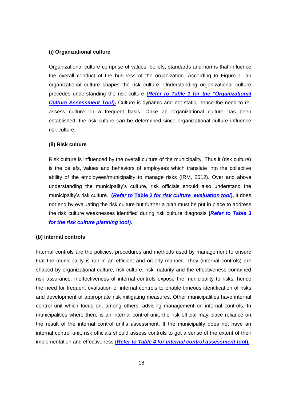### **(i) Organizational culture**

Organizational culture comprise of values, beliefs, standards and norms that influence the overall conduct of the business of the organization. According to Figure 1, an organizational culture shapes the risk culture. Understanding organizational culture precedes understanding the risk culture *(Refer to Table 1 for [the "Organizational](file:///C:/Users/3727/AppData/Local/Microsoft/Windows/Temporary%20Internet%20Files/Content.Outlook/DHSE31YP/2.%20Annexures%2001%20Feb%202019.docx)  [Culture Assessment Tool\)](file:///C:/Users/3727/AppData/Local/Microsoft/Windows/Temporary%20Internet%20Files/Content.Outlook/DHSE31YP/2.%20Annexures%2001%20Feb%202019.docx)***.** Culture is dynamic and not static, hence the need to reassess culture on a frequent basis. Once an organizational culture has been established, the risk culture can be determined since organizational culture influence risk culture.

## **(ii) Risk culture**

Risk culture is influenced by the overall culture of the municipality. Thus it (risk culture) is the beliefs, values and behaviors of employees which translate into the collective ability of the employees/municipality to manage risks (IRM, 2012). Over and above understanding the municipality's culture, risk officials should also understand the municipality's risk culture. **(***Refer to* **Table 2** *[for risk culture evaluation tool\)](file:///C:/Users/3727/AppData/Local/Microsoft/Windows/Temporary%20Internet%20Files/Content.Outlook/DHSE31YP/2.%20Annexures%2001%20Feb%202019.docx)***.** It does not end by evaluating the risk culture but further a plan must be put in place to address the risk culture weaknesses identified during risk culture diagnosis **(***[Refer to](file:///C:/Users/3727/AppData/Local/Microsoft/Windows/Temporary%20Internet%20Files/Content.Outlook/DHSE31YP/2.%20Annexures%2001%20Feb%202019.docx) Table 3 [for the risk culture planning tool\).](file:///C:/Users/3727/AppData/Local/Microsoft/Windows/Temporary%20Internet%20Files/Content.Outlook/DHSE31YP/2.%20Annexures%2001%20Feb%202019.docx)*

#### **(b) Internal controls**

Internal controls are the policies, procedures and methods used by management to ensure that the municipality is run in an efficient and orderly manner. They (internal controls) are shaped by organizational culture, risk culture, risk maturity and the effectiveness combined risk assurance. Ineffectiveness of internal controls expose the municipality to risks, hence the need for frequent evaluation of internal controls to enable timeous identification of risks and development of appropriate risk mitigating measures. Other municipalities have internal control unit which focus on, among others, advising management on internal controls. In municipalities where there is an internal control unit, the risk official may place reliance on the result of the internal control unit's assessment. If the municipality does not have an internal control unit, risk officials should assess controls to get a sense of the extent of their implementation and effectiveness **(***Refer to Table 4 for internal [control assessment tool](file:///C:/Users/3727/AppData/Local/Microsoft/Windows/Temporary%20Internet%20Files/Content.Outlook/DHSE31YP/2.%20Annexures%2001%20Feb%202019.docx)***).**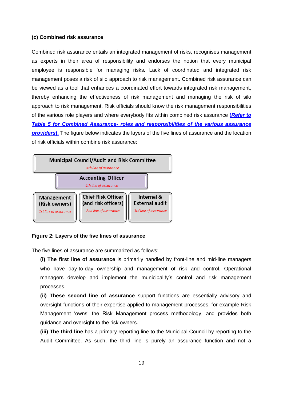#### **(c) Combined risk assurance**

Combined risk assurance entails an integrated management of risks, recognises management as experts in their area of responsibility and endorses the notion that every municipal employee is responsible for managing risks. Lack of coordinated and integrated risk management poses a risk of silo approach to risk management. Combined risk assurance can be viewed as a tool that enhances a coordinated effort towards integrated risk management, thereby enhancing the effectiveness of risk management and managing the risk of silo approach to risk management. Risk officials should know the risk management responsibilities of the various role players and where everybody fits within combined risk assurance **(***[Refer to](file:///C:/Users/3727/AppData/Local/Microsoft/Windows/Temporary%20Internet%20Files/Content.Outlook/DHSE31YP/2.%20Annexures%2001%20Feb%202019.docx) Table 5 for Combined Assurance- [roles and responsibilities of the various assurance](file:///C:/Users/3727/AppData/Local/Microsoft/Windows/Temporary%20Internet%20Files/Content.Outlook/DHSE31YP/2.%20Annexures%2001%20Feb%202019.docx)  [providers](file:///C:/Users/3727/AppData/Local/Microsoft/Windows/Temporary%20Internet%20Files/Content.Outlook/DHSE31YP/2.%20Annexures%2001%20Feb%202019.docx)***).** The figure below indicates the layers of the five lines of assurance and the location of risk officials within combine risk assurance:



#### **Figure 2: Layers of the five lines of assurance**

The five lines of assurance are summarized as follows:

**(i) The first line of assurance** is primarily handled by front-line and mid-line managers who have day-to-day ownership and management of risk and control. Operational managers develop and implement the municipality's control and risk management processes.

**(ii) These second line of assurance** support functions are essentially advisory and oversight functions of their expertise applied to management processes, for example Risk Management 'owns' the Risk Management process methodology, and provides both guidance and oversight to the risk owners.

**(iii) The third line** has a primary reporting line to the Municipal Council by reporting to the Audit Committee. As such, the third line is purely an assurance function and not a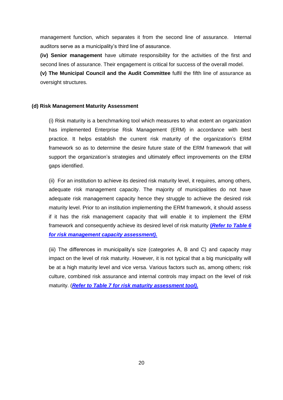management function, which separates it from the second line of assurance. Internal auditors serve as a municipality's third line of assurance.

**(iv) Senior management** have ultimate responsibility for the activities of the first and second lines of assurance. Their engagement is critical for success of the overall model.

**(v) The Municipal Council and the Audit Committee** fulfil the fifth line of assurance as oversight structures.

## **(d) Risk Management Maturity Assessment**

(i) Risk maturity is a benchmarking tool which measures to what extent an organization has implemented Enterprise Risk Management (ERM) in accordance with best practice. It helps establish the current risk maturity of the organization's ERM framework so as to determine the desire future state of the ERM framework that will support the organization's strategies and ultimately effect improvements on the ERM gaps identified.

(ii) For an institution to achieve its desired risk maturity level, it requires, among others, adequate risk management capacity. The majority of municipalities do not have adequate risk management capacity hence they struggle to achieve the desired risk maturity level. Prior to an institution implementing the ERM framework, it should assess if it has the risk management capacity that will enable it to implement the ERM framework and consequently achieve its desired level of risk maturity **(***[Refer to Table 6](file:///C:/Users/3727/AppData/Local/Microsoft/Windows/Temporary%20Internet%20Files/Content.Outlook/DHSE31YP/2.%20Annexures%2001%20Feb%202019.docx) [for risk management capacity assessment\).](file:///C:/Users/3727/AppData/Local/Microsoft/Windows/Temporary%20Internet%20Files/Content.Outlook/DHSE31YP/2.%20Annexures%2001%20Feb%202019.docx)*

(iii) The differences in municipality's size (categories A, B and C) and capacity may impact on the level of risk maturity. However, it is not typical that a big municipality will be at a high maturity level and vice versa. Various factors such as, among others; risk culture, combined risk assurance and internal controls may impact on the level of risk maturity. (*[Refer to Table 7 for risk](file:///C:/Users/3727/AppData/Local/Microsoft/Windows/Temporary%20Internet%20Files/Content.Outlook/DHSE31YP/2.%20Annexures%2001%20Feb%202019.docx) maturity assessment tool).*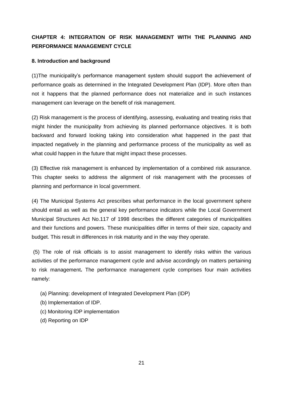## **CHAPTER 4: INTEGRATION OF RISK MANAGEMENT WITH THE PLANNING AND PERFORMANCE MANAGEMENT CYCLE**

## **8. Introduction and background**

(1)The municipality's performance management system should support the achievement of performance goals as determined in the Integrated Development Plan (IDP). More often than not it happens that the planned performance does not materialize and in such instances management can leverage on the benefit of risk management.

(2) Risk management is the process of identifying, assessing, evaluating and treating risks that might hinder the municipality from achieving its planned performance objectives. It is both backward and forward looking taking into consideration what happened in the past that impacted negatively in the planning and performance process of the municipality as well as what could happen in the future that might impact these processes.

(3) Effective risk management is enhanced by implementation of a combined risk assurance. This chapter seeks to address the alignment of risk management with the processes of planning and performance in local government.

(4) The Municipal Systems Act prescribes what performance in the local government sphere should entail as well as the general key performance indicators while the Local Government Municipal Structures Act No.117 of 1998 describes the different categories of municipalities and their functions and powers. These municipalities differ in terms of their size, capacity and budget. This result in differences in risk maturity and in the way they operate.

(5) The role of risk officials is to assist management to identify risks within the various activities of the performance management cycle and advise accordingly on matters pertaining to risk management**.** The performance management cycle comprises four main activities namely:

- (a) Planning: development of Integrated Development Plan (IDP)
- (b) Implementation of IDP.
- (c) Monitoring IDP implementation
- (d) Reporting on IDP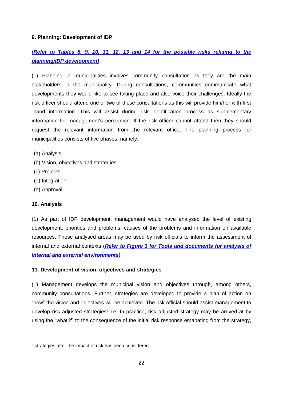## **9. Planning: Development of IDP**

## *[\(Refer to Tables 8, 9, 10, 11, 12, 13 and 14](file:///C:/Users/3727/AppData/Local/Microsoft/Windows/Temporary%20Internet%20Files/Content.Outlook/DHSE31YP/2.%20Annexures%2001%20Feb%202019.docx) for the possible risks relating to the [planning/IDP development\)](file:///C:/Users/3727/AppData/Local/Microsoft/Windows/Temporary%20Internet%20Files/Content.Outlook/DHSE31YP/2.%20Annexures%2001%20Feb%202019.docx)*

(1) Planning in municipalities involves community consultation as they are the main stakeholders in the municipality. During consultations, communities communicate what developments they would like to see taking place and also voice their challenges. Ideally the risk officer should attend one or two of these consultations as this will provide him/her with first -hand information. This will assist during risk identification process as supplementary information for management's perception**.** If the risk officer cannot attend then they should request the relevant information from the relevant office. The planning process for municipalities consists of five phases, namely:

- (a) Analysis
- (b) Vision, objectives and strategies
- (c) Projects
- (d) Integration
- (e) Approval

## **10. Analysis**

-

(1) As part of IDP development, management would have analysed the level of existing development, priorities and problems, causes of the problems and information on available resources. These analysed areas may be used by risk officials to inform the assessment of internal and external contexts (*Refer to Figure 3 for Tools and documents for analysis of internal and external environments)*

## **11. Development of vision, objectives and strategies**

(1) Management develops the municipal vision and objectives through, among others, community consultations. Further, strategies are developed to provide a plan of action on "how" the vision and objectives will be achieved. The risk official should assist management to develop risk-adjusted strategies<sup>3</sup> i.e. In practice, risk adjusted strategy may be arrived at by using the "what if" to the consequence of the initial risk response emanating from the strategy,

<sup>3</sup> strategies after the impact of risk has been considered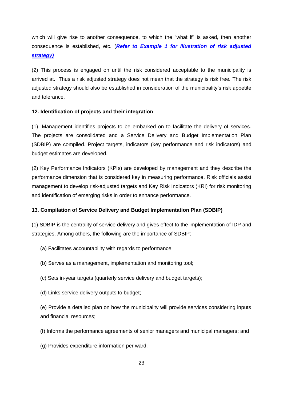which will give rise to another consequence, to which the "what if" is asked, then another consequence is established, etc. (*Refer to Example 1 for Illustration of risk adjusted strategy)*

(2) This process is engaged on until the risk considered acceptable to the municipality is arrived at. Thus a risk adjusted strategy does not mean that the strategy is risk free. The risk adjusted strategy should also be established in consideration of the municipality's risk appetite and tolerance.

## **12. Identification of projects and their integration**

(1). Management identifies projects to be embarked on to facilitate the delivery of services. The projects are consolidated and a Service Delivery and Budget Implementation Plan (SDBIP) are compiled. Project targets, indicators (key performance and risk indicators) and budget estimates are developed.

(2) Key Performance Indicators (KPIs) are developed by management and they describe the performance dimension that is considered key in measuring performance. Risk officials assist management to develop risk-adjusted targets and Key Risk Indicators (KRI) for risk monitoring and identification of emerging risks in order to enhance performance.

## **13. Compilation of Service Delivery and Budget Implementation Plan (SDBIP)**

(1) SDBIP is the centrality of service delivery and gives effect to the implementation of IDP and strategies. Among others, the following are the importance of SDBIP:

- (a) Facilitates accountability with regards to performance;
- (b) Serves as a management, implementation and monitoring tool;
- (c) Sets in-year targets (quarterly service delivery and budget targets);
- (d) Links service delivery outputs to budget;

(e) Provide a detailed plan on how the municipality will provide services considering inputs and financial resources;

- (f) Informs the performance agreements of senior managers and municipal managers; and
- (g) Provides expenditure information per ward.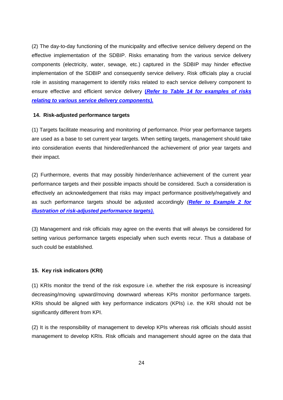(2) The day-to-day functioning of the municipality and effective service delivery depend on the effective implementation of the SDBIP. Risks emanating from the various service delivery components (electricity, water, sewage, etc.) captured in the SDBIP may hinder effective implementation of the SDBIP and consequently service delivery. Risk officials play a crucial role in assisting management to identify risks related to each service delivery component to ensure effective and efficient service delivery **(***[Refer to Table 14 for examples of](file:///C:/Users/3727/AppData/Local/Microsoft/Windows/Temporary%20Internet%20Files/Content.Outlook/DHSE31YP/2.%20Annexures%2001%20Feb%202019.docx) risks [relating to various service delivery components\).](file:///C:/Users/3727/AppData/Local/Microsoft/Windows/Temporary%20Internet%20Files/Content.Outlook/DHSE31YP/2.%20Annexures%2001%20Feb%202019.docx)*

### **14. Risk-adjusted performance targets**

(1) Targets facilitate measuring and monitoring of performance. Prior year performance targets are used as a base to set current year targets. When setting targets, management should take into consideration events that hindered/enhanced the achievement of prior year targets and their impact.

(2) Furthermore, events that may possibly hinder/enhance achievement of the current year performance targets and their possible impacts should be considered. Such a consideration is effectively an acknowledgement that risks may impact performance positively/negatively and as such performance targets should be adjusted accordingly *(Refer to Example 2 for illustration of risk-adjusted performance targets).*

(3) Management and risk officials may agree on the events that will always be considered for setting various performance targets especially when such events recur. Thus a database of such could be established.

## **15. Key risk indicators (KRI)**

(1) KRIs monitor the trend of the risk exposure i.e. whether the risk exposure is increasing/ decreasing/moving upward/moving downward whereas KPIs monitor performance targets. KRIs should be aligned with key performance indicators (KPIs) i.e. the KRI should not be significantly different from KPI.

(2) It is the responsibility of management to develop KPIs whereas risk officials should assist management to develop KRIs. Risk officials and management should agree on the data that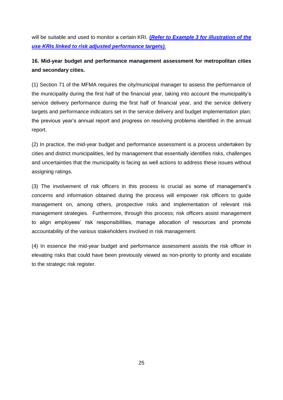will be suitable and used to monitor a certain KRI. **(***Refer to Example 3 for [illustration of the](file:///C:/Users/3727/AppData/Local/Microsoft/Windows/Temporary%20Internet%20Files/Content.Outlook/DHSE31YP/2.%20Annexures%2001%20Feb%202019.docx)  use KRIs [linked to risk adjusted performance targets\)](file:///C:/Users/3727/AppData/Local/Microsoft/Windows/Temporary%20Internet%20Files/Content.Outlook/DHSE31YP/2.%20Annexures%2001%20Feb%202019.docx).*

## **16. Mid-year budget and performance management assessment for metropolitan cities and secondary cities.**

(1) Section 71 of the MFMA requires the city/municipal manager to assess the performance of the municipality during the first half of the financial year, taking into account the municipality's service delivery performance during the first half of financial year, and the service delivery targets and performance indicators set in the service delivery and budget implementation plan; the previous year's annual report and progress on resolving problems identified in the annual report.

(2) In practice, the mid-year budget and performance assessment is a process undertaken by cities and district municipalities, led by management that essentially identifies risks, challenges and uncertainties that the municipality is facing as well actions to address these issues without assigning ratings.

(3) The involvement of risk officers in this process is crucial as some of management's concerns and information obtained during the process will empower risk officers to guide management on, among others, prospective risks and implementation of relevant risk management strategies. Furthermore, through this process; risk officers assist management to align employees' risk responsibilities, manage allocation of resources and promote accountability of the various stakeholders involved in risk management.

(4) In essence the mid-year budget and performance assessment assists the risk officer in elevating risks that could have been previously viewed as non-priority to priority and escalate to the strategic risk register.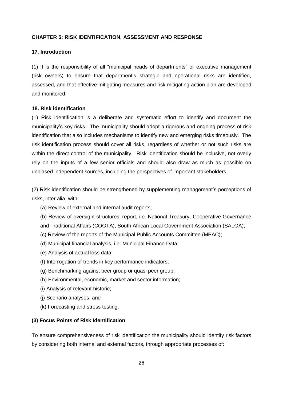#### **CHAPTER 5: RISK IDENTIFICATION, ASSESSMENT AND RESPONSE**

## **17. Introduction**

(1) It is the responsibility of all "municipal heads of departments" or executive management (risk owners) to ensure that department's strategic and operational risks are identified, assessed, and that effective mitigating measures and risk mitigating action plan are developed and monitored.

#### **18. Risk identification**

(1) Risk identification is a deliberate and systematic effort to identify and document the municipality's key risks. The municipality should adopt a rigorous and ongoing process of risk identification that also includes mechanisms to identify new and emerging risks timeously. The risk identification process should cover all risks, regardless of whether or not such risks are within the direct control of the municipality. Risk identification should be inclusive, not overly rely on the inputs of a few senior officials and should also draw as much as possible on unbiased independent sources, including the perspectives of important stakeholders.

(2) Risk identification should be strengthened by supplementing management's perceptions of risks, inter alia, with:

- (a) Review of external and internal audit reports;
- (b) Review of oversight structures' report, i.e. National Treasury, Cooperative Governance and Traditional Affairs (COGTA), South African Local Government Association (SALGA);
- (c) Review of the reports of the Municipal Public Accounts Committee (MPAC);
- (d) Municipal financial analysis, i.e. Municipal Finance Data;
- (e) Analysis of actual loss data;
- (f) Interrogation of trends in key performance indicators;
- (g) Benchmarking against peer group or quasi peer group;
- (h) Environmental, economic, market and sector information;
- (i) Analysis of relevant historic;
- (j) Scenario analyses; and
- (k) Forecasting and stress testing.

## **(3) Focus Points of Risk Identification**

To ensure comprehensiveness of risk identification the municipality should identify risk factors by considering both internal and external factors, through appropriate processes of: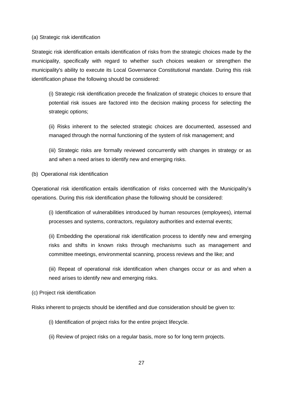(a) Strategic risk identification

Strategic risk identification entails identification of risks from the strategic choices made by the municipality, specifically with regard to whether such choices weaken or strengthen the municipality's ability to execute its Local Governance Constitutional mandate. During this risk identification phase the following should be considered:

(i) Strategic risk identification precede the finalization of strategic choices to ensure that potential risk issues are factored into the decision making process for selecting the strategic options;

(ii) Risks inherent to the selected strategic choices are documented, assessed and managed through the normal functioning of the system of risk management; and

(iii) Strategic risks are formally reviewed concurrently with changes in strategy or as and when a need arises to identify new and emerging risks.

(b) Operational risk identification

Operational risk identification entails identification of risks concerned with the Municipality's operations. During this risk identification phase the following should be considered:

(i) Identification of vulnerabilities introduced by human resources (employees), internal processes and systems, contractors, regulatory authorities and external events;

(ii) Embedding the operational risk identification process to identify new and emerging risks and shifts in known risks through mechanisms such as management and committee meetings, environmental scanning, process reviews and the like; and

(iii) Repeat of operational risk identification when changes occur or as and when a need arises to identify new and emerging risks.

(c) Project risk identification

Risks inherent to projects should be identified and due consideration should be given to:

- (i) Identification of project risks for the entire project lifecycle.
- (ii) Review of project risks on a regular basis, more so for long term projects.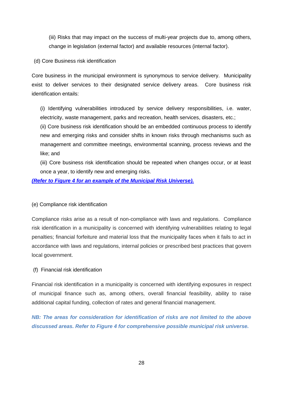(iii) Risks that may impact on the success of multi-year projects due to, among others, change in legislation (external factor) and available resources (internal factor).

(d) Core Business risk identification

Core business in the municipal environment is synonymous to service delivery. Municipality exist to deliver services to their designated service delivery areas. Core business risk identification entails:

(i) Identifying vulnerabilities introduced by service delivery responsibilities, i.e. water, electricity, waste management, parks and recreation, health services, disasters, etc.;

(ii) Core business risk identification should be an embedded continuous process to identify new and emerging risks and consider shifts in known risks through mechanisms such as management and committee meetings, environmental scanning, process reviews and the like; and

(iii) Core business risk identification should be repeated when changes occur, or at least once a year, to identify new and emerging risks.

## *(Refer to Figure 4 [for an example of the Municipal Risk Universe\).](file:///C:/Users/3727/AppData/Local/Microsoft/Windows/Temporary%20Internet%20Files/Content.Outlook/DHSE31YP/2.%20Annexures%2001%20Feb%202019.docx)*

## (e) Compliance risk identification

Compliance risks arise as a result of non-compliance with laws and regulations. Compliance risk identification in a municipality is concerned with identifying vulnerabilities relating to legal penalties; financial forfeiture and material loss that the municipality faces when it fails to act in accordance with laws and regulations, internal policies or prescribed best practices that govern local government.

## (f) Financial risk identification

Financial risk identification in a municipality is concerned with identifying exposures in respect of municipal finance such as, among others, overall financial feasibility, ability to raise additional capital funding, collection of rates and general financial management.

*NB: The areas for consideration for identification of risks are not limited to the above discussed areas. Refer to Figure 4 for comprehensive possible municipal risk universe.*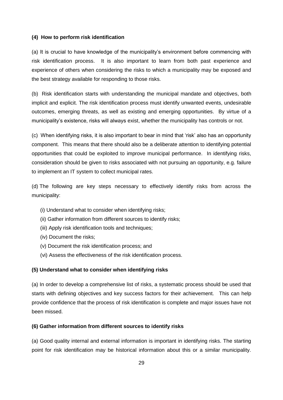### **(4) How to perform risk identification**

(a) It is crucial to have knowledge of the municipality's environment before commencing with risk identification process. It is also important to learn from both past experience and experience of others when considering the risks to which a municipality may be exposed and the best strategy available for responding to those risks.

(b) Risk identification starts with understanding the municipal mandate and objectives, both implicit and explicit. The risk identification process must identify unwanted events, undesirable outcomes, emerging threats, as well as existing and emerging opportunities. By virtue of a municipality's existence, risks will always exist, whether the municipality has controls or not.

(c) When identifying risks, it is also important to bear in mind that 'risk' also has an opportunity component. This means that there should also be a deliberate attention to identifying potential opportunities that could be exploited to improve municipal performance. In identifying risks, consideration should be given to risks associated with not pursuing an opportunity, e.g. failure to implement an IT system to collect municipal rates.

(d) The following are key steps necessary to effectively identify risks from across the municipality:

- (i) Understand what to consider when identifying risks;
- (ii) Gather information from different sources to identify risks;
- (iii) Apply risk identification tools and techniques;
- (iv) Document the risks;
- (v) Document the risk identification process; and
- (vi) Assess the effectiveness of the risk identification process.

## **(5) Understand what to consider when identifying risks**

(a) In order to develop a comprehensive list of risks, a systematic process should be used that starts with defining objectives and key success factors for their achievement. This can help provide confidence that the process of risk identification is complete and major issues have not been missed.

## **(6) Gather information from different sources to identify risks**

(a) Good quality internal and external information is important in identifying risks. The starting point for risk identification may be historical information about this or a similar municipality.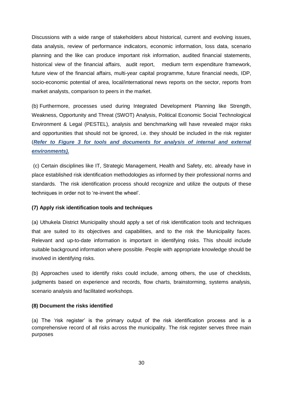Discussions with a wide range of stakeholders about historical, current and evolving issues, data analysis, review of performance indicators, economic information, loss data, scenario planning and the like can produce important risk information, audited financial statements, historical view of the financial affairs, audit report, medium term expenditure framework, future view of the financial affairs, multi-year capital programme, future financial needs, IDP, socio-economic potential of area, local/international news reports on the sector, reports from market analysts, comparison to peers in the market.

(b) Furthermore, processes used during Integrated Development Planning like Strength, Weakness, Opportunity and Threat (SWOT) Analysis, Political Economic Social Technological Environment & Legal (PESTEL), analysis and benchmarking will have revealed major risks and opportunities that should not be ignored, i.e. they should be included in the risk register (*Refer to Figure 3 for tools and documents for analysis of internal and external environments).*

(c) Certain disciplines like IT, Strategic Management, Health and Safety, etc. already have in place established risk identification methodologies as informed by their professional norms and standards. The risk identification process should recognize and utilize the outputs of these techniques in order not to 're-invent the wheel'.

## **(7) Apply risk identification tools and techniques**

(a) Uthukela District Municipality should apply a set of risk identification tools and techniques that are suited to its objectives and capabilities, and to the risk the Municipality faces. Relevant and up-to-date information is important in identifying risks. This should include suitable background information where possible. People with appropriate knowledge should be involved in identifying risks.

(b) Approaches used to identify risks could include, among others, the use of checklists, judgments based on experience and records, flow charts, brainstorming, systems analysis, scenario analysis and facilitated workshops.

## **(8) Document the risks identified**

(a) The 'risk register' is the primary output of the risk identification process and is a comprehensive record of all risks across the municipality. The risk register serves three main purposes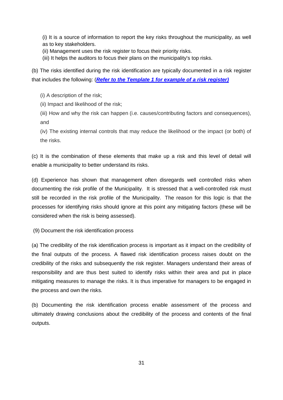(i) It is a source of information to report the key risks throughout the municipality, as well as to key stakeholders.

- (ii) Management uses the risk register to focus their priority risks.
- (iii) It helps the auditors to focus their plans on the municipality's top risks.

(b) The risks identified during the risk identification are typically documented in a risk register that includes the following: (*[Refer to the Template 1 for example](file:///C:/Users/3727/AppData/Local/Microsoft/Windows/Temporary%20Internet%20Files/Content.Outlook/DHSE31YP/Risk%20Register%20_%20Local%20Government%20Toolkit.xlsx) of a risk register)*

- (i) A description of the risk;
- (ii) Impact and likelihood of the risk;
- (iii) How and why the risk can happen (i.e. causes/contributing factors and consequences), and

(iv) The existing internal controls that may reduce the likelihood or the impact (or both) of the risks.

(c) It is the combination of these elements that make up a risk and this level of detail will enable a municipality to better understand its risks.

(d) Experience has shown that management often disregards well controlled risks when documenting the risk profile of the Municipality. It is stressed that a well-controlled risk must still be recorded in the risk profile of the Municipality. The reason for this logic is that the processes for identifying risks should ignore at this point any mitigating factors (these will be considered when the risk is being assessed).

(9) Document the risk identification process

(a) The credibility of the risk identification process is important as it impact on the credibility of the final outputs of the process. A flawed risk identification process raises doubt on the credibility of the risks and subsequently the risk register. Managers understand their areas of responsibility and are thus best suited to identify risks within their area and put in place mitigating measures to manage the risks. It is thus imperative for managers to be engaged in the process and own the risks.

(b) Documenting the risk identification process enable assessment of the process and ultimately drawing conclusions about the credibility of the process and contents of the final outputs.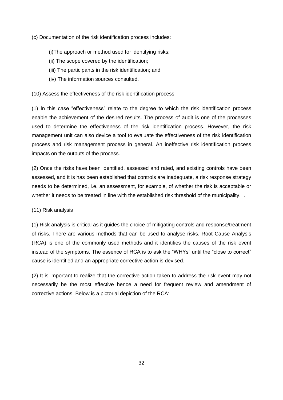(c) Documentation of the risk identification process includes:

## (i)The approach or method used for identifying risks;

- (ii) The scope covered by the identification;
- (iii) The participants in the risk identification; and
- (iv) The information sources consulted.

## (10) Assess the effectiveness of the risk identification process

(1) In this case "effectiveness" relate to the degree to which the risk identification process enable the achievement of the desired results. The process of audit is one of the processes used to determine the effectiveness of the risk identification process. However, the risk management unit can also device a tool to evaluate the effectiveness of the risk identification process and risk management process in general. An ineffective risk identification process impacts on the outputs of the process.

(2) Once the risks have been identified, assessed and rated, and existing controls have been assessed, and it is has been established that controls are inadequate, a risk response strategy needs to be determined, i.e. an assessment, for example, of whether the risk is acceptable or whether it needs to be treated in line with the established risk threshold of the municipality.

## (11) Risk analysis

(1) Risk analysis is critical as it guides the choice of mitigating controls and response/treatment of risks. There are various methods that can be used to analyse risks. Root Cause Analysis (RCA) is one of the commonly used methods and it identifies the causes of the risk event instead of the symptoms. The essence of RCA is to ask the "WHYs" until the "close to correct" cause is identified and an appropriate corrective action is devised.

(2) It is important to realize that the corrective action taken to address the risk event may not necessarily be the most effective hence a need for frequent review and amendment of corrective actions. Below is a pictorial depiction of the RCA: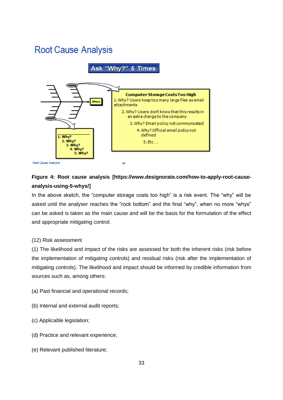## **Root Cause Analysis**

## Ask "Why?" 5 Times



## **Figure 4: Root cause analysis [https://www.designorate.com/how-to-apply-root-causeanalysis-using-5-whys/]**

In the above sketch, the "computer storage costs too high" is a risk event. The "why" will be asked until the analyser reaches the "rock bottom" and the final "why", when no more "whys" can be asked is taken as the main cause and will be the basis for the formulation of the effect and appropriate mitigating control.

## (12) Risk assessment

(1) The likelihood and impact of the risks are assessed for both the inherent risks (risk before the implementation of mitigating controls) and residual risks (risk after the implementation of mitigating controls). The likelihood and impact should be informed by credible information from sources such as, among others:

- (a) Past financial and operational records;
- (b) Internal and external audit reports;
- (c) Applicable legislation;
- (d) Practice and relevant experience;
- (e) Relevant published literature;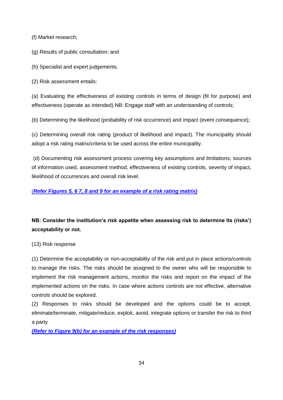(f) Market research;

(g) Results of public consultation; and

(h) Specialist and expert judgements.

(2) Risk assessment entails:

(a) Evaluating the effectiveness of existing controls in terms of design (fit for purpose) and effectiveness (operate as intended) NB: Engage staff with an understanding of controls;

(b) Determining the likelihood (probability of risk occurrence) and impact (event consequence);

(c) Determining overall risk rating (product of likelihood and impact). The municipality should adopt a risk rating matrix/criteria to be used across the entire municipality.

(d) Documenting risk assessment process covering key assumptions and limitations, sources of information used, assessment method, effectiveness of existing controls, severity of impact, likelihood of occurrences and overall risk level.

## *(Refer Figures 5, 6 7, 8 and 9 [for an example of a risk rating matrix\)](file:///C:/Users/3727/AppData/Local/Microsoft/Windows/Temporary%20Internet%20Files/Content.Outlook/DHSE31YP/2.%20Annexures%2001%20Feb%202019.docx)*

## **NB: Consider the institution's risk appetite when assessing risk to determine its (risks') acceptability or not.**

(13) Risk response

(1) Determine the acceptability or non-acceptability of the risk and put in place actions/controls to manage the risks. The risks should be assigned to the owner who will be responsible to implement the risk management actions, monitor the risks and report on the impact of the implemented actions on the risks. In case where actions controls are not effective, alternative controls should be explored.

(2) Responses to risks should be developed and the options could be to accept, eliminate/terminate, mitigate/reduce, exploit, avoid, integrate options or transfer the risk to third a party

*(Refer to Figure 9(b) [for an example of the risk responses\)](file:///C:/Users/3727/AppData/Local/Microsoft/Windows/Temporary%20Internet%20Files/Content.Outlook/DHSE31YP/2.%20Annexures%2001%20Feb%202019.docx)*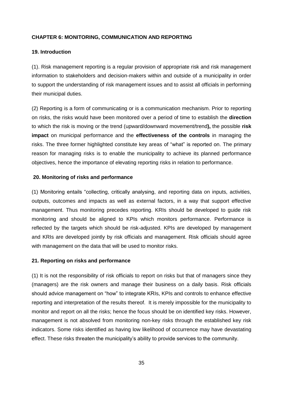## **CHAPTER 6: MONITORING, COMMUNICATION AND REPORTING**

## **19. Introduction**

(1). Risk management reporting is a regular provision of appropriate risk and risk management information to stakeholders and decision-makers within and outside of a municipality in order to support the understanding of risk management issues and to assist all officials in performing their municipal duties.

(2) Reporting is a form of communicating or is a communication mechanism. Prior to reporting on risks, the risks would have been monitored over a period of time to establish the **direction** to which the risk is moving or the trend (upward/downward movement/trend**),** the possible **risk impact** on municipal performance and the **effectiveness of the controls** in managing the risks. The three former highlighted constitute key areas of "what" is reported on. The primary reason for managing risks is to enable the municipality to achieve its planned performance objectives, hence the importance of elevating reporting risks in relation to performance.

## **20. Monitoring of risks and performance**

(1) Monitoring entails "collecting, critically analysing, and reporting data on inputs, activities, outputs, outcomes and impacts as well as external factors, in a way that support effective management. Thus monitoring precedes reporting. KRIs should be developed to guide risk monitoring and should be aligned to KPIs which monitors performance. Performance is reflected by the targets which should be risk-adjusted. KPIs are developed by management and KRIs are developed jointly by risk officials and management. Risk officials should agree with management on the data that will be used to monitor risks.

## **21. Reporting on risks and performance**

(1) It is not the responsibility of risk officials to report on risks but that of managers since they (managers) are the risk owners and manage their business on a daily basis. Risk officials should advice management on "how" to integrate KRIs, KPIs and controls to enhance effective reporting and interpretation of the results thereof. It is merely impossible for the municipality to monitor and report on all the risks; hence the focus should be on identified key risks. However, management is not absolved from monitoring non-key risks through the established key risk indicators. Some risks identified as having low likelihood of occurrence may have devastating effect. These risks threaten the municipality's ability to provide services to the community.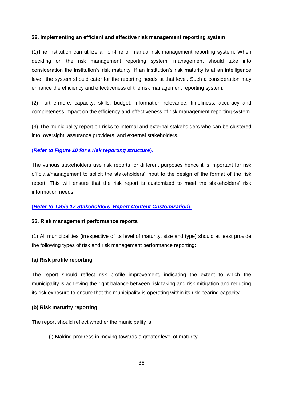## **22. Implementing an efficient and effective risk management reporting system**

(1)The institution can utilize an on-line or manual risk management reporting system. When deciding on the risk management reporting system, management should take into consideration the institution's risk maturity. If an institution's risk maturity is at an intelligence level, the system should cater for the reporting needs at that level. Such a consideration may enhance the efficiency and effectiveness of the risk management reporting system.

(2) Furthermore, capacity, skills, budget, information relevance, timeliness, accuracy and completeness impact on the efficiency and effectiveness of risk management reporting system.

(3) The municipality report on risks to internal and external stakeholders who can be clustered into: oversight, assurance providers, and external stakeholders.

## (*Refer to Figure 10 [for a risk reporting structure](file:///C:/Users/3727/AppData/Local/Microsoft/Windows/Temporary%20Internet%20Files/Content.Outlook/DHSE31YP/2.%20Annexures%2001%20Feb%202019.docx)*).

The various stakeholders use risk reports for different purposes hence it is important for risk officials/management to solicit the stakeholders' input to the design of the format of the risk report. This will ensure that the risk report is customized to meet the stakeholders' risk information needs

## (*[Refer to Table 17 Stakeholders' Report Content Customization](file:///C:/Users/3727/AppData/Local/Microsoft/Windows/Temporary%20Internet%20Files/Content.Outlook/DHSE31YP/2.%20Annexures%2001%20Feb%202019.docx)*).

## **23. Risk management performance reports**

(1) All municipalities (irrespective of its level of maturity, size and type) should at least provide the following types of risk and risk management performance reporting:

## **(a) Risk profile reporting**

The report should reflect risk profile improvement, indicating the extent to which the municipality is achieving the right balance between risk taking and risk mitigation and reducing its risk exposure to ensure that the municipality is operating within its risk bearing capacity.

## **(b) Risk maturity reporting**

The report should reflect whether the municipality is:

(i) Making progress in moving towards a greater level of maturity;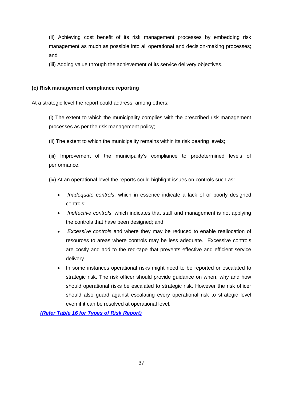(ii) Achieving cost benefit of its risk management processes by embedding risk management as much as possible into all operational and decision-making processes; and

(iii) Adding value through the achievement of its service delivery objectives.

## **(c) Risk management compliance reporting**

At a strategic level the report could address, among others:

(i) The extent to which the municipality complies with the prescribed risk management processes as per the risk management policy;

(ii) The extent to which the municipality remains within its risk bearing levels;

(iii) Improvement of the municipality's compliance to predetermined levels of performance.

(iv) At an operational level the reports could highlight issues on controls such as:

- *Inadequate controls*, which in essence indicate a lack of or poorly designed controls;
- *Ineffective controls*, which indicates that staff and management is not applying the controls that have been designed; and
- *Excessive controls* and where they may be reduced to enable reallocation of resources to areas where controls may be less adequate. Excessive controls are costly and add to the red-tape that prevents effective and efficient service delivery.
- In some instances operational risks might need to be reported or escalated to strategic risk. The risk officer should provide guidance on when, why and how should operational risks be escalated to strategic risk. However the risk officer should also guard against escalating every operational risk to strategic level even if it can be resolved at operational level.

*(Refer [Table 16 for Types of Risk Report\)](file:///C:/Users/3727/AppData/Local/Microsoft/Windows/Temporary%20Internet%20Files/Content.Outlook/DHSE31YP/2.%20Annexures%2001%20Feb%202019.docx)*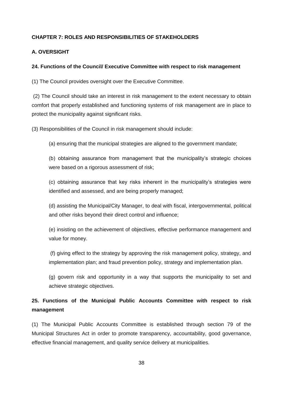## **CHAPTER 7: ROLES AND RESPONSIBILITIES OF STAKEHOLDERS**

## **A. OVERSIGHT**

## **24. Functions of the Council/ Executive Committee with respect to risk management**

(1) The Council provides oversight over the Executive Committee.

(2) The Council should take an interest in risk management to the extent necessary to obtain comfort that properly established and functioning systems of risk management are in place to protect the municipality against significant risks.

(3) Responsibilities of the Council in risk management should include:

(a) ensuring that the municipal strategies are aligned to the government mandate;

(b) obtaining assurance from management that the municipality's strategic choices were based on a rigorous assessment of risk;

(c) obtaining assurance that key risks inherent in the municipality's strategies were identified and assessed, and are being properly managed;

(d) assisting the Municipal/City Manager, to deal with fiscal, intergovernmental, political and other risks beyond their direct control and influence;

(e) insisting on the achievement of objectives, effective performance management and value for money.

(f) giving effect to the strategy by approving the risk management policy, strategy, and implementation plan; and fraud prevention policy, strategy and implementation plan.

(g) govern risk and opportunity in a way that supports the municipality to set and achieve strategic objectives.

## **25. Functions of the Municipal Public Accounts Committee with respect to risk management**

(1) The Municipal Public Accounts Committee is established through section 79 of the Municipal Structures Act in order to promote transparency, accountability, good governance, effective financial management, and quality service delivery at municipalities.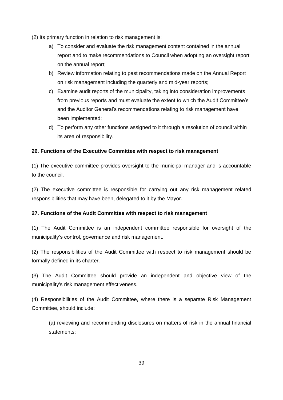- (2) Its primary function in relation to risk management is:
	- a) To consider and evaluate the risk management content contained in the annual report and to make recommendations to Council when adopting an oversight report on the annual report;
	- b) Review information relating to past recommendations made on the Annual Report on risk management including the quarterly and mid-year reports;
	- c) Examine audit reports of the municipality, taking into consideration improvements from previous reports and must evaluate the extent to which the Audit Committee's and the Auditor General's recommendations relating to risk management have been implemented;
	- d) To perform any other functions assigned to it through a resolution of council within its area of responsibility.

## **26. Functions of the Executive Committee with respect to risk management**

(1) The executive committee provides oversight to the municipal manager and is accountable to the council.

(2) The executive committee is responsible for carrying out any risk management related responsibilities that may have been, delegated to it by the Mayor.

## **27. Functions of the Audit Committee with respect to risk management**

(1) The Audit Committee is an independent committee responsible for oversight of the municipality's control, governance and risk management.

(2) The responsibilities of the Audit Committee with respect to risk management should be formally defined in its charter.

(3) The Audit Committee should provide an independent and objective view of the municipality's risk management effectiveness.

(4) Responsibilities of the Audit Committee, where there is a separate Risk Management Committee, should include:

(a) reviewing and recommending disclosures on matters of risk in the annual financial statements;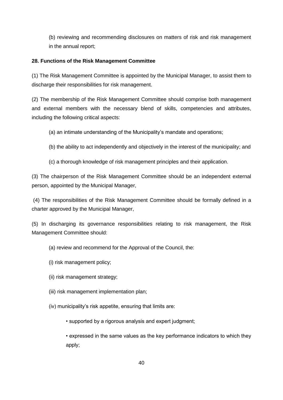(b) reviewing and recommending disclosures on matters of risk and risk management in the annual report;

## **28. Functions of the Risk Management Committee**

(1) The Risk Management Committee is appointed by the Municipal Manager, to assist them to discharge their responsibilities for risk management.

(2) The membership of the Risk Management Committee should comprise both management and external members with the necessary blend of skills, competencies and attributes, including the following critical aspects:

- (a) an intimate understanding of the Municipality's mandate and operations;
- (b) the ability to act independently and objectively in the interest of the municipality; and
- (c) a thorough knowledge of risk management principles and their application.

(3) The chairperson of the Risk Management Committee should be an independent external person, appointed by the Municipal Manager,

(4) The responsibilities of the Risk Management Committee should be formally defined in a charter approved by the Municipal Manager,

(5) In discharging its governance responsibilities relating to risk management, the Risk Management Committee should:

- (a) review and recommend for the Approval of the Council, the:
- (i) risk management policy;
- (ii) risk management strategy;
- (iii) risk management implementation plan;
- (iv) municipality's risk appetite, ensuring that limits are:
	- supported by a rigorous analysis and expert judgment;

• expressed in the same values as the key performance indicators to which they apply;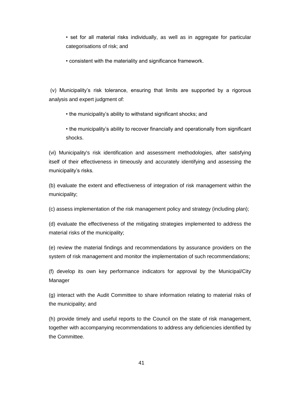• set for all material risks individually, as well as in aggregate for particular categorisations of risk; and

• consistent with the materiality and significance framework.

(v) Municipality's risk tolerance, ensuring that limits are supported by a rigorous analysis and expert judgment of:

- the municipality's ability to withstand significant shocks; and
- the municipality's ability to recover financially and operationally from significant shocks.

(vi) Municipality's risk identification and assessment methodologies, after satisfying itself of their effectiveness in timeously and accurately identifying and assessing the municipality's risks.

(b) evaluate the extent and effectiveness of integration of risk management within the municipality;

(c) assess implementation of the risk management policy and strategy (including plan);

(d) evaluate the effectiveness of the mitigating strategies implemented to address the material risks of the municipality;

(e) review the material findings and recommendations by assurance providers on the system of risk management and monitor the implementation of such recommendations;

(f) develop its own key performance indicators for approval by the Municipal/City Manager

(g) interact with the Audit Committee to share information relating to material risks of the municipality; and

(h) provide timely and useful reports to the Council on the state of risk management, together with accompanying recommendations to address any deficiencies identified by the Committee.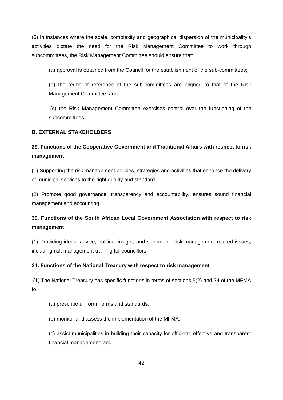(6) In instances where the scale, complexity and geographical dispersion of the municipality's activities dictate the need for the Risk Management Committee to work through subcommittees, the Risk Management Committee should ensure that:

(a) approval is obtained from the Council for the establishment of the sub-committees;

(b) the terms of reference of the sub-committees are aligned to that of the Risk Management Committee; and

(c) the Risk Management Committee exercises control over the functioning of the subcommittees.

## **B. EXTERNAL STAKEHOLDERS**

## **29. Functions of the Cooperative Government and Traditional Affairs with respect to risk management**

(1) Supporting the risk management policies, strategies and activities that enhance the delivery of municipal services to the right quality and standard,

(2) Promote good governance, transparency and accountability, ensures sound financial management and accounting.

## **30. Functions of the South African Local Government Association with respect to risk management**

(1) Providing ideas, advice, political insight, and support on risk management related issues, including risk management training for councillors.

## **31. Functions of the National Treasury with respect to risk management**

(1) The National Treasury has specific functions in terms of sections 5(2) and 34 of the MFMA to:

(a) prescribe uniform norms and standards;

(b) monitor and assess the implementation of the MFMA;

(c) assist municipalities in building their capacity for efficient, effective and transparent financial management; and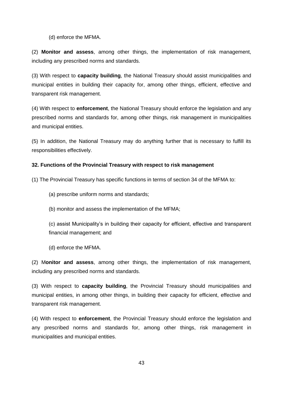(d) enforce the MFMA.

(2) **Monitor and assess**, among other things, the implementation of risk management, including any prescribed norms and standards.

(3) With respect to **capacity building**, the National Treasury should assist municipalities and municipal entities in building their capacity for, among other things, efficient, effective and transparent risk management.

(4) With respect to **enforcement**, the National Treasury should enforce the legislation and any prescribed norms and standards for, among other things, risk management in municipalities and municipal entities.

(5) In addition, the National Treasury may do anything further that is necessary to fulfill its responsibilities effectively.

## **32. Functions of the Provincial Treasury with respect to risk management**

(1) The Provincial Treasury has specific functions in terms of section 34 of the MFMA to:

- (a) prescribe uniform norms and standards;
- (b) monitor and assess the implementation of the MFMA;

(c) assist Municipality's in building their capacity for efficient, effective and transparent financial management; and

(d) enforce the MFMA.

(2) M**onitor and assess**, among other things, the implementation of risk management, including any prescribed norms and standards.

(3) With respect to **capacity building**, the Provincial Treasury should municipalities and municipal entities, in among other things, in building their capacity for efficient, effective and transparent risk management.

(4) With respect to **enforcement**, the Provincial Treasury should enforce the legislation and any prescribed norms and standards for, among other things, risk management in municipalities and municipal entities.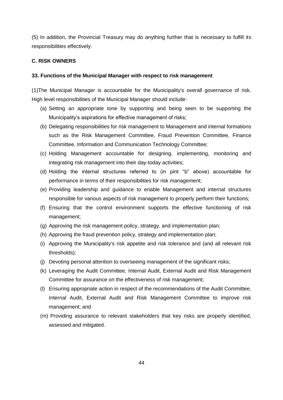(5) In addition, the Provincial Treasury may do anything further that is necessary to fulfill its responsibilities effectively.

## **C. RISK OWNERS**

## **33. Functions of the Municipal Manager with respect to risk management**

(1)The Municipal Manager is accountable for the Municipality's overall governance of risk. High level responsibilities of the Municipal Manager should include:

- (a) Setting an appropriate tone by supporting and being seen to be supporting the Municipality's aspirations for effective management of risks;
- (b) Delegating responsibilities for risk management to Management and internal formations such as the Risk Management Committee, Fraud Prevention Committee, Finance Committee, Information and Communication Technology Committee;
- (c) Holding Management accountable for designing, implementing, monitoring and integrating risk management into their day-today activities;
- (d) Holding the internal structures referred to (in pint "b" above) accountable for performance in terms of their responsibilities for risk management;
- (e) Providing leadership and guidance to enable Management and internal structures responsible for various aspects of risk management to properly perform their functions;
- (f) Ensuring that the control environment supports the effective functioning of risk management;
- (g) Approving the risk management policy, strategy, and implementation plan;
- (h) Approving the fraud prevention policy, strategy and implementation plan;
- (i) Approving the Municipality's risk appetite and risk tolerance and (and all relevant risk thresholds);
- (j) Devoting personal attention to overseeing management of the significant risks;
- (k) Leveraging the Audit Committee, Internal Audit, External Audit and Risk Management Committee for assurance on the effectiveness of risk management;
- (l) Ensuring appropriate action in respect of the recommendations of the Audit Committee, Internal Audit, External Audit and Risk Management Committee to improve risk management; and
- (m) Providing assurance to relevant stakeholders that key risks are properly identified, assessed and mitigated.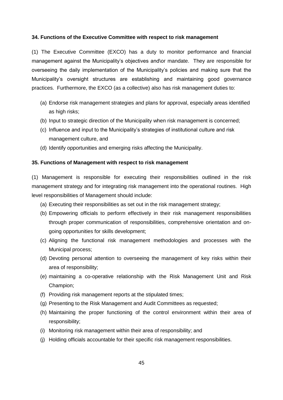#### **34. Functions of the Executive Committee with respect to risk management**

(1) The Executive Committee (EXCO) has a duty to monitor performance and financial management against the Municipality's objectives and\or mandate. They are responsible for overseeing the daily implementation of the Municipality's policies and making sure that the Municipality's oversight structures are establishing and maintaining good governance practices. Furthermore, the EXCO (as a collective) also has risk management duties to:

- (a) Endorse risk management strategies and plans for approval, especially areas identified as high risks;
- (b) Input to strategic direction of the Municipality when risk management is concerned;
- (c) Influence and input to the Municipality's strategies of institutional culture and risk management culture, and
- (d) Identify opportunities and emerging risks affecting the Municipality.

## **35. Functions of Management with respect to risk management**

(1) Management is responsible for executing their responsibilities outlined in the risk management strategy and for integrating risk management into the operational routines. High level responsibilities of Management should include:

- (a) Executing their responsibilities as set out in the risk management strategy;
- (b) Empowering officials to perform effectively in their risk management responsibilities through proper communication of responsibilities, comprehensive orientation and ongoing opportunities for skills development;
- (c) Aligning the functional risk management methodologies and processes with the Municipal process;
- (d) Devoting personal attention to overseeing the management of key risks within their area of responsibility;
- (e) maintaining a co-operative relationship with the Risk Management Unit and Risk Champion;
- (f) Providing risk management reports at the stipulated times;
- (g) Presenting to the Risk Management and Audit Committees as requested;
- (h) Maintaining the proper functioning of the control environment within their area of responsibility;
- (i) Monitoring risk management within their area of responsibility; and
- (j) Holding officials accountable for their specific risk management responsibilities.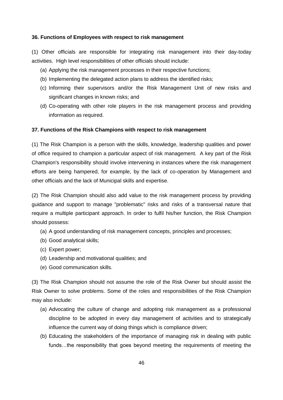#### **36. Functions of Employees with respect to risk management**

(1) Other officials are responsible for integrating risk management into their day-today activities. High level responsibilities of other officials should include:

- (a) Applying the risk management processes in their respective functions;
- (b) Implementing the delegated action plans to address the identified risks;
- (c) Informing their supervisors and/or the Risk Management Unit of new risks and significant changes in known risks; and
- (d) Co-operating with other role players in the risk management process and providing information as required.

## **37. Functions of the Risk Champions with respect to risk management**

(1) The Risk Champion is a person with the skills, knowledge, leadership qualities and power of office required to champion a particular aspect of risk management. A key part of the Risk Champion's responsibility should involve intervening in instances where the risk management efforts are being hampered, for example, by the lack of co-operation by Management and other officials and the lack of Municipal skills and expertise.

(2) The Risk Champion should also add value to the risk management process by providing guidance and support to manage "problematic" risks and risks of a transversal nature that require a multiple participant approach. In order to fulfil his/her function, the Risk Champion should possess:

- (a) A good understanding of risk management concepts, principles and processes;
- (b) Good analytical skills;
- (c) Expert power;
- (d) Leadership and motivational qualities; and
- (e) Good communication skills.

(3) The Risk Champion should not assume the role of the Risk Owner but should assist the Risk Owner to solve problems. Some of the roles and responsibilities of the Risk Champion may also include:

- (a) Advocating the culture of change and adopting risk management as a professional discipline to be adopted in every day management of activities and to strategically influence the current way of doing things which is compliance driven;
- (b) Educating the stakeholders of the importance of managing risk in dealing with public funds…the responsibility that goes beyond meeting the requirements of meeting the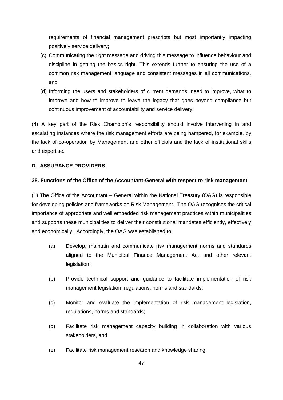requirements of financial management prescripts but most importantly impacting positively service delivery;

- (c) Communicating the right message and driving this message to influence behaviour and discipline in getting the basics right. This extends further to ensuring the use of a common risk management language and consistent messages in all communications, and
- (d) Informing the users and stakeholders of current demands, need to improve, what to improve and how to improve to leave the legacy that goes beyond compliance but continuous improvement of accountability and service delivery.

(4) A key part of the Risk Champion's responsibility should involve intervening in and escalating instances where the risk management efforts are being hampered, for example, by the lack of co-operation by Management and other officials and the lack of institutional skills and expertise.

## **D. ASSURANCE PROVIDERS**

## **38. Functions of the Office of the Accountant-General with respect to risk management**

(1) The Office of the Accountant – General within the National Treasury (OAG) is responsible for developing policies and frameworks on Risk Management. The OAG recognises the critical importance of appropriate and well embedded risk management practices within municipalities and supports these municipalities to deliver their constitutional mandates efficiently, effectively and economically. Accordingly, the OAG was established to:

- (a) Develop, maintain and communicate risk management norms and standards aligned to the Municipal Finance Management Act and other relevant legislation;
- (b) Provide technical support and guidance to facilitate implementation of risk management legislation, regulations, norms and standards;
- (c) Monitor and evaluate the implementation of risk management legislation, regulations, norms and standards;
- (d) Facilitate risk management capacity building in collaboration with various stakeholders, and
- (e) Facilitate risk management research and knowledge sharing.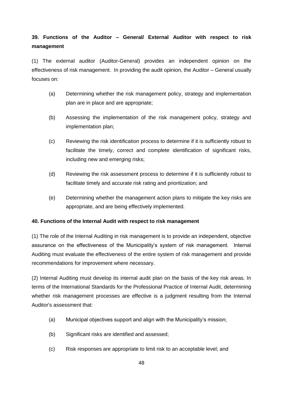## **39. Functions of the Auditor – General/ External Auditor with respect to risk management**

(1) The external auditor (Auditor-General) provides an independent opinion on the effectiveness of risk management. In providing the audit opinion, the Auditor – General usually focuses on:

- (a) Determining whether the risk management policy, strategy and implementation plan are in place and are appropriate;
- (b) Assessing the implementation of the risk management policy, strategy and implementation plan;
- (c) Reviewing the risk identification process to determine if it is sufficiently robust to facilitate the timely, correct and complete identification of significant risks, including new and emerging risks;
- (d) Reviewing the risk assessment process to determine if it is sufficiently robust to facilitate timely and accurate risk rating and prioritization; and
- (e) Determining whether the management action plans to mitigate the key risks are appropriate, and are being effectively implemented.

## **40. Functions of the Internal Audit with respect to risk management**

(1) The role of the Internal Auditing in risk management is to provide an independent, objective assurance on the effectiveness of the Municipality's system of risk management. Internal Auditing must evaluate the effectiveness of the entire system of risk management and provide recommendations for improvement where necessary.

(2) Internal Auditing must develop its internal audit plan on the basis of the key risk areas. In terms of the International Standards for the Professional Practice of Internal Audit, determining whether risk management processes are effective is a judgment resulting from the Internal Auditor's assessment that:

- (a) Municipal objectives support and align with the Municipality's mission;
- (b) Significant risks are identified and assessed;
- (c) Risk responses are appropriate to limit risk to an acceptable level; and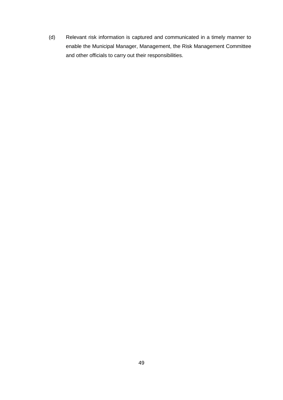(d) Relevant risk information is captured and communicated in a timely manner to enable the Municipal Manager, Management, the Risk Management Committee and other officials to carry out their responsibilities.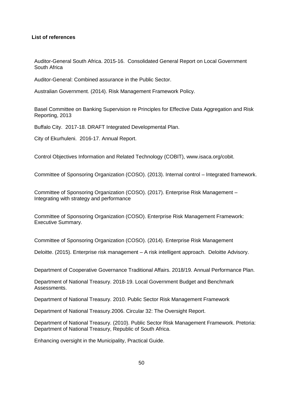## **List of references**

Auditor-General South Africa. 2015-16. Consolidated General Report on Local Government South Africa

Auditor-General: Combined assurance in the Public Sector.

Australian Government. (2014). Risk Management Framework Policy.

Basel Committee on Banking Supervision re Principles for Effective Data Aggregation and Risk Reporting, 2013

Buffalo City. 2017-18. DRAFT Integrated Developmental Plan.

City of Ekurhuleni. 2016-17. Annual Report.

Control Objectives Information and Related Technology (COBIT), www.isaca.org/cobit.

Committee of Sponsoring Organization (COSO). (2013). Internal control – Integrated framework.

Committee of Sponsoring Organization (COSO). (2017). Enterprise Risk Management – Integrating with strategy and performance

Committee of Sponsoring Organization (COSO). Enterprise Risk Management Framework: Executive Summary.

Committee of Sponsoring Organization (COSO). (2014). Enterprise Risk Management

Deloitte. (2015). Enterprise risk management – A risk intelligent approach. Deloitte Advisory.

Department of Cooperative Governance Traditional Affairs. 2018/19. Annual Performance Plan.

Department of National Treasury. 2018-19. Local Government Budget and Benchmark Assessments.

Department of National Treasury. 2010. Public Sector Risk Management Framework

Department of National Treasury.2006. Circular 32: The Oversight Report.

Department of National Treasury. (2010). Public Sector Risk Management Framework. Pretoria: Department of National Treasury, Republic of South Africa.

Enhancing oversight in the Municipality, Practical Guide.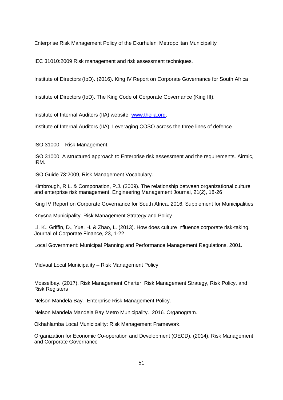Enterprise Risk Management Policy of the Ekurhuleni Metropolitan Municipality

IEC 31010:2009 Risk management and risk assessment techniques.

Institute of Directors (IoD). (2016). King IV Report on Corporate Governance for South Africa

Institute of Directors (IoD). The King Code of Corporate Governance (King III).

Institute of Internal Auditors (IIA) website, [www.theiia.org.](http://www.theiia.org/)

Institute of Internal Auditors (IIA). Leveraging COSO across the three lines of defence

ISO 31000 – Risk Management.

ISO 31000. A structured approach to Enterprise risk assessment and the requirements. Airmic, IRM.

ISO Guide 73:2009, Risk Management Vocabulary.

Kimbrough, R.L. & Componation, P.J. (2009). The relationship between organizational culture and enterprise risk management. Engineering Management Journal, 21(2), 18-26

King IV Report on Corporate Governance for South Africa. 2016. Supplement for Municipalities

Knysna Municipality: Risk Management Strategy and Policy

Li, K., Griffin, D., Yue, H. & Zhao, L. (2013). How does culture influence corporate risk-taking. Journal of Corporate Finance, 23, 1-22

Local Government: Municipal Planning and Performance Management Regulations, 2001.

Midvaal Local Municipality – Risk Management Policy

Mosselbay. (2017). Risk Management Charter, Risk Management Strategy, Risk Policy, and Risk Registers

Nelson Mandela Bay. Enterprise Risk Management Policy.

Nelson Mandela Mandela Bay Metro Municipality. 2016. Organogram.

Okhahlamba Local Municipality: Risk Management Framework.

Organization for Economic Co-operation and Development (OECD). (2014). Risk Management and Corporate Governance